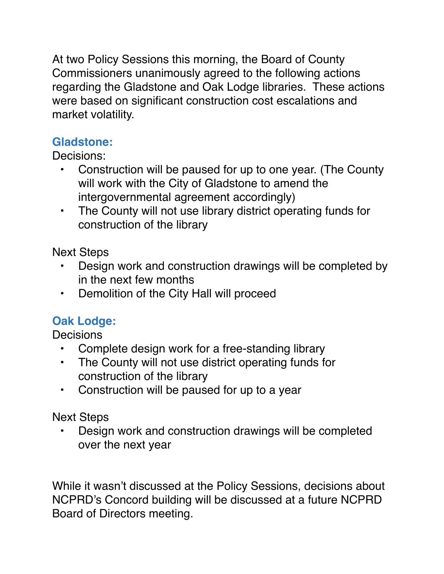At two Policy Sessions this morning, the Board of County Commissioners unanimously agreed to the following actions regarding the Gladstone and Oak Lodge libraries. These actions were based on significant construction cost escalations and market volatility.

## **Gladstone:**

Decisions:

- Construction will be paused for up to one year. (The County will work with the City of Gladstone to amend the intergovernmental agreement accordingly)
- The County will not use library district operating funds for construction of the library

Next Steps

- Design work and construction drawings will be completed by in the next few months
- Demolition of the City Hall will proceed

## **Oak Lodge:**

**Decisions** 

- Complete design work for a free-standing library
- The County will not use district operating funds for construction of the library
- Construction will be paused for up to a year

Next Steps

• Design work and construction drawings will be completed over the next year

While it wasn't discussed at the Policy Sessions, decisions about NCPRD's Concord building will be discussed at a future NCPRD Board of Directors meeting.